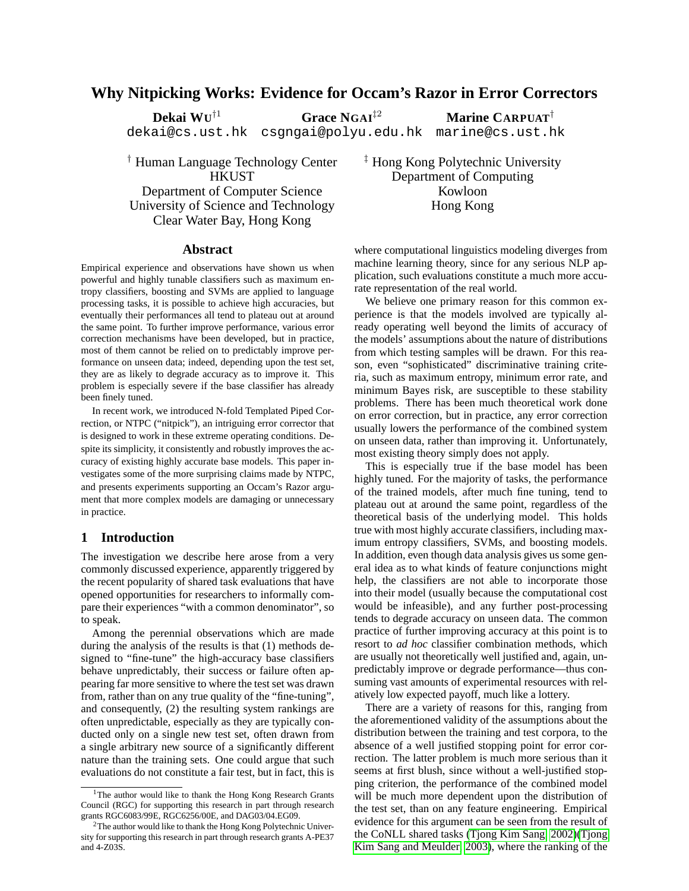# **Why Nitpicking Works: Evidence for Occam's Razor in Error Correctors**

†<sup>1</sup> **Grace NGAI**‡<sup>2</sup> **Marine CARPUAT**†

dekai@cs.ust.hk csgngai@polyu.edu.hk marine@cs.ust.hk

† Human Language Technology Center **HKUST** Department of Computer Science University of Science and Technology Clear Water Bay, Hong Kong

‡ Hong Kong Polytechnic University Department of Computing Kowloon Hong Kong

## **Abstract**

**Dekai WU**

Empirical experience and observations have shown us when powerful and highly tunable classifiers such as maximum entropy classifiers, boosting and SVMs are applied to language processing tasks, it is possible to achieve high accuracies, but eventually their performances all tend to plateau out at around the same point. To further improve performance, various error correction mechanisms have been developed, but in practice, most of them cannot be relied on to predictably improve performance on unseen data; indeed, depending upon the test set, they are as likely to degrade accuracy as to improve it. This problem is especially severe if the base classifier has already been finely tuned.

In recent work, we introduced N-fold Templated Piped Correction, or NTPC ("nitpick"), an intriguing error corrector that is designed to work in these extreme operating conditions. Despite its simplicity, it consistently and robustly improves the accuracy of existing highly accurate base models. This paper investigates some of the more surprising claims made by NTPC, and presents experiments supporting an Occam's Razor argument that more complex models are damaging or unnecessary in practice.

### **1 Introduction**

The investigation we describe here arose from a very commonly discussed experience, apparently triggered by the recent popularity of shared task evaluations that have opened opportunities for researchers to informally compare their experiences "with a common denominator", so to speak.

Among the perennial observations which are made during the analysis of the results is that (1) methods designed to "fine-tune" the high-accuracy base classifiers behave unpredictably, their success or failure often appearing far more sensitive to where the test set was drawn from, rather than on any true quality of the "fine-tuning", and consequently, (2) the resulting system rankings are often unpredictable, especially as they are typically conducted only on a single new test set, often drawn from a single arbitrary new source of a significantly different nature than the training sets. One could argue that such evaluations do not constitute a fair test, but in fact, this is where computational linguistics modeling diverges from machine learning theory, since for any serious NLP application, such evaluations constitute a much more accurate representation of the real world.

We believe one primary reason for this common experience is that the models involved are typically already operating well beyond the limits of accuracy of the models' assumptions about the nature of distributions from which testing samples will be drawn. For this reason, even "sophisticated" discriminative training criteria, such as maximum entropy, minimum error rate, and minimum Bayes risk, are susceptible to these stability problems. There has been much theoretical work done on error correction, but in practice, any error correction usually lowers the performance of the combined system on unseen data, rather than improving it. Unfortunately, most existing theory simply does not apply.

This is especially true if the base model has been highly tuned. For the majority of tasks, the performance of the trained models, after much fine tuning, tend to plateau out at around the same point, regardless of the theoretical basis of the underlying model. This holds true with most highly accurate classifiers, including maximum entropy classifiers, SVMs, and boosting models. In addition, even though data analysis gives us some general idea as to what kinds of feature conjunctions might help, the classifiers are not able to incorporate those into their model (usually because the computational cost would be infeasible), and any further post-processing tends to degrade accuracy on unseen data. The common practice of further improving accuracy at this point is to resort to *ad hoc* classifier combination methods, which are usually not theoretically well justified and, again, unpredictably improve or degrade performance—thus consuming vast amounts of experimental resources with relatively low expected payoff, much like a lottery.

There are a variety of reasons for this, ranging from the aforementioned validity of the assumptions about the distribution between the training and test corpora, to the absence of a well justified stopping point for error correction. The latter problem is much more serious than it seems at first blush, since without a well-justified stopping criterion, the performance of the combined model will be much more dependent upon the distribution of the test set, than on any feature engineering. Empirical evidence for this argument can be seen from the result of the CoNLL shared tasks [\(Tjong Kim Sang, 2002\)](#page-6-0)[\(Tjong](#page-6-1) [Kim Sang and Meulder, 2003\)](#page-6-1), where the ranking of the

<sup>&</sup>lt;sup>1</sup>The author would like to thank the Hong Kong Research Grants Council (RGC) for supporting this research in part through research grants RGC6083/99E, RGC6256/00E, and DAG03/04.EG09.

<sup>&</sup>lt;sup>2</sup>The author would like to thank the Hong Kong Polytechnic University for supporting this research in part through research grants A-PE37 and 4-Z03S.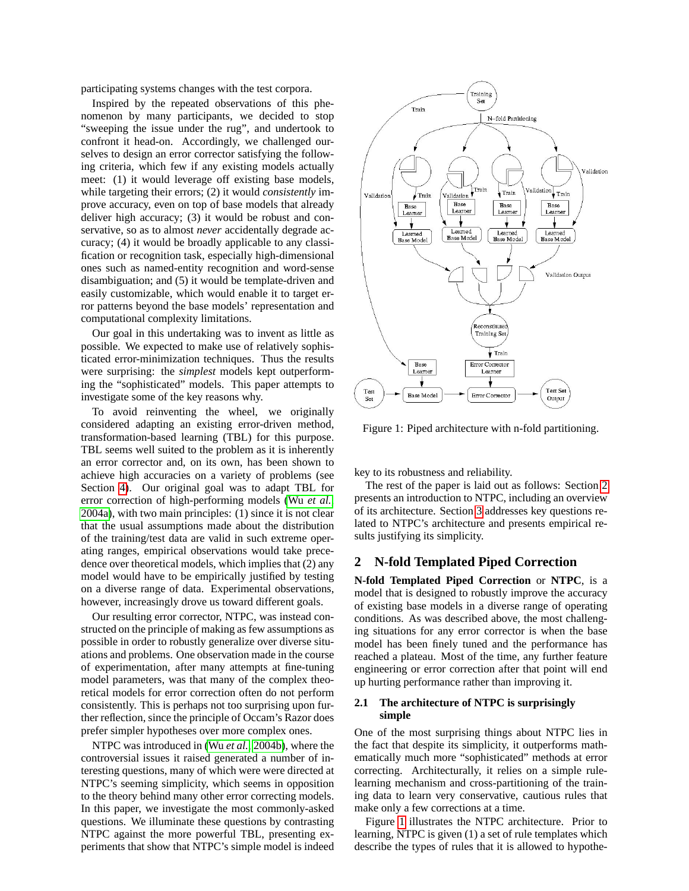participating systems changes with the test corpora.

Inspired by the repeated observations of this phenomenon by many participants, we decided to stop "sweeping the issue under the rug", and undertook to confront it head-on. Accordingly, we challenged ourselves to design an error corrector satisfying the following criteria, which few if any existing models actually meet: (1) it would leverage off existing base models, while targeting their errors; (2) it would *consistently* improve accuracy, even on top of base models that already deliver high accuracy; (3) it would be robust and conservative, so as to almost *never* accidentally degrade accuracy; (4) it would be broadly applicable to any classification or recognition task, especially high-dimensional ones such as named-entity recognition and word-sense disambiguation; and (5) it would be template-driven and easily customizable, which would enable it to target error patterns beyond the base models' representation and computational complexity limitations.

Our goal in this undertaking was to invent as little as possible. We expected to make use of relatively sophisticated error-minimization techniques. Thus the results were surprising: the *simplest* models kept outperforming the "sophisticated" models. This paper attempts to investigate some of the key reasons why.

To avoid reinventing the wheel, we originally considered adapting an existing error-driven method, transformation-based learning (TBL) for this purpose. TBL seems well suited to the problem as it is inherently an error corrector and, on its own, has been shown to achieve high accuracies on a variety of problems (see Section [4\)](#page-5-0). Our original goal was to adapt TBL for error correction of high-performing models (Wu *[et al.](#page-6-2)*, [2004a\)](#page-6-2), with two main principles: (1) since it is not clear that the usual assumptions made about the distribution of the training/test data are valid in such extreme operating ranges, empirical observations would take precedence over theoretical models, which implies that (2) any model would have to be empirically justified by testing on a diverse range of data. Experimental observations, however, increasingly drove us toward different goals.

Our resulting error corrector, NTPC, was instead constructed on the principle of making as few assumptions as possible in order to robustly generalize over diverse situations and problems. One observation made in the course of experimentation, after many attempts at fine-tuning model parameters, was that many of the complex theoretical models for error correction often do not perform consistently. This is perhaps not too surprising upon further reflection, since the principle of Occam's Razor does prefer simpler hypotheses over more complex ones.

NTPC was introduced in (Wu *[et al.](#page-6-3)*, [2004b\)](#page-6-3), where the controversial issues it raised generated a number of interesting questions, many of which were were directed at NTPC's seeming simplicity, which seems in opposition to the theory behind many other error correcting models. In this paper, we investigate the most commonly-asked questions. We illuminate these questions by contrasting NTPC against the more powerful TBL, presenting experiments that show that NTPC's simple model is indeed



<span id="page-1-1"></span>Figure 1: Piped architecture with n-fold partitioning.

key to its robustness and reliability.

The rest of the paper is laid out as follows: Section [2](#page-1-0) presents an introduction to NTPC, including an overview of its architecture. Section [3](#page-2-0) addresses key questions related to NTPC's architecture and presents empirical results justifying its simplicity.

# <span id="page-1-0"></span>**2 N-fold Templated Piped Correction**

**N-fold Templated Piped Correction** or **NTPC**, is a model that is designed to robustly improve the accuracy of existing base models in a diverse range of operating conditions. As was described above, the most challenging situations for any error corrector is when the base model has been finely tuned and the performance has reached a plateau. Most of the time, any further feature engineering or error correction after that point will end up hurting performance rather than improving it.

#### **2.1 The architecture of NTPC is surprisingly simple**

One of the most surprising things about NTPC lies in the fact that despite its simplicity, it outperforms mathematically much more "sophisticated" methods at error correcting. Architecturally, it relies on a simple rulelearning mechanism and cross-partitioning of the training data to learn very conservative, cautious rules that make only a few corrections at a time.

Figure [1](#page-1-1) illustrates the NTPC architecture. Prior to learning, NTPC is given (1) a set of rule templates which describe the types of rules that it is allowed to hypothe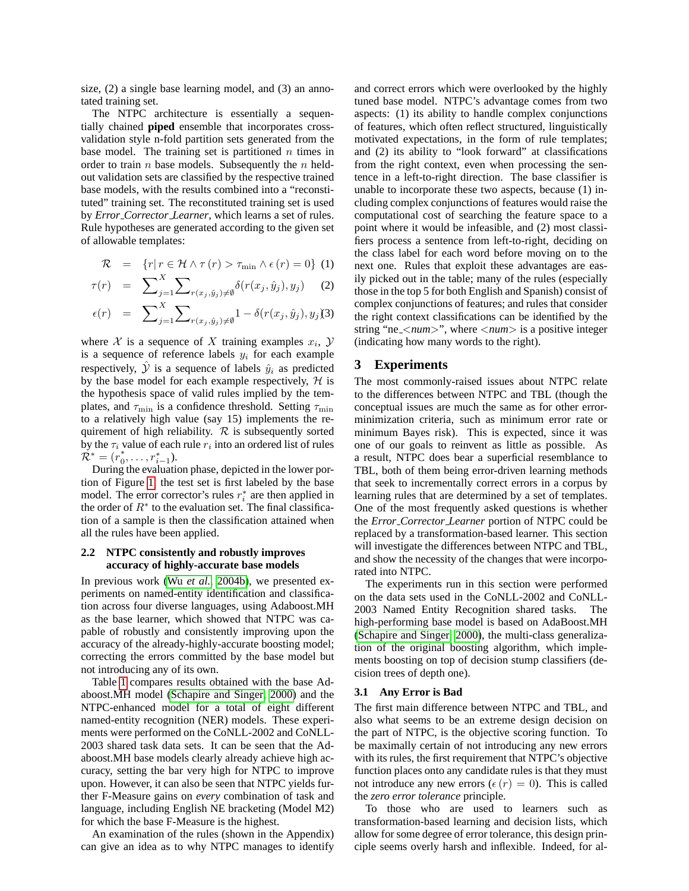size, (2) a single base learning model, and (3) an annotated training set.

The NTPC architecture is essentially a sequentially chained **piped** ensemble that incorporates crossvalidation style n-fold partition sets generated from the base model. The training set is partitioned  $n$  times in order to train  $n$  base models. Subsequently the  $n$  heldout validation sets are classified by the respective trained base models, with the results combined into a "reconstituted" training set. The reconstituted training set is used by *Error Corrector Learner*, which learns a set of rules. Rule hypotheses are generated according to the given set of allowable templates:

$$
\mathcal{R} = \{r | r \in \mathcal{H} \land \tau(r) > \tau_{\min} \land \epsilon(r) = 0\} \tag{1}
$$

$$
\tau(r) = \sum_{j=1}^{X} \sum_{r(x_j, \hat{y}_j) \neq \emptyset} \delta(r(x_j, \hat{y}_j), y_j)
$$
 (2)

$$
\epsilon(r) = \sum_{j=1}^{X} \sum_{r(x_j, \hat{y}_j) \neq \emptyset} 1 - \delta(r(x_j, \hat{y}_j), y_j \text{)}3)
$$

where X is a sequence of X training examples  $x_i$ ,  $\mathcal{Y}$ is a sequence of reference labels  $y_i$  for each example respectively,  $\hat{y}$  is a sequence of labels  $\hat{y}_i$  as predicted by the base model for each example respectively,  $H$  is the hypothesis space of valid rules implied by the templates, and  $\tau_{\min}$  is a confidence threshold. Setting  $\tau_{\min}$ to a relatively high value (say 15) implements the requirement of high reliability.  $R$  is subsequently sorted by the  $\tau_i$  value of each rule  $r_i$  into an ordered list of rules  $\tilde{\mathcal{R}}^* = (r_0^*)$  $_{0}^{\ast},\ldots,r_{i-1}^{\ast}).$ 

During the evaluation phase, depicted in the lower portion of Figure [1,](#page-1-1) the test set is first labeled by the base model. The error corrector's rules  $r_i^*$  are then applied in the order of  $R^*$  to the evaluation set. The final classification of a sample is then the classification attained when all the rules have been applied.

#### **2.2 NTPC consistently and robustly improves accuracy of highly-accurate base models**

In previous work (Wu *[et al.](#page-6-3)*, [2004b\)](#page-6-3), we presented experiments on named-entity identification and classification across four diverse languages, using Adaboost.MH as the base learner, which showed that NTPC was capable of robustly and consistently improving upon the accuracy of the already-highly-accurate boosting model; correcting the errors committed by the base model but not introducing any of its own.

Table [1](#page-3-0) compares results obtained with the base Adaboost.MH model [\(Schapire and Singer, 2000\)](#page-6-4) and the NTPC-enhanced model for a total of eight different named-entity recognition (NER) models. These experiments were performed on the CoNLL-2002 and CoNLL-2003 shared task data sets. It can be seen that the Adaboost.MH base models clearly already achieve high accuracy, setting the bar very high for NTPC to improve upon. However, it can also be seen that NTPC yields further F-Measure gains on *every* combination of task and language, including English NE bracketing (Model M2) for which the base F-Measure is the highest.

An examination of the rules (shown in the Appendix) can give an idea as to why NTPC manages to identify and correct errors which were overlooked by the highly tuned base model. NTPC's advantage comes from two aspects: (1) its ability to handle complex conjunctions of features, which often reflect structured, linguistically motivated expectations, in the form of rule templates; and (2) its ability to "look forward" at classifications from the right context, even when processing the sentence in a left-to-right direction. The base classifier is unable to incorporate these two aspects, because (1) including complex conjunctions of features would raise the computational cost of searching the feature space to a point where it would be infeasible, and (2) most classifiers process a sentence from left-to-right, deciding on the class label for each word before moving on to the next one. Rules that exploit these advantages are easily picked out in the table; many of the rules (especially those in the top 5 for both English and Spanish) consist of complex conjunctions of features; and rules that consider the right context classifications can be identified by the string "ne <*num*>", where <*num*> is a positive integer (indicating how many words to the right).

### <span id="page-2-0"></span>**3 Experiments**

The most commonly-raised issues about NTPC relate to the differences between NTPC and TBL (though the conceptual issues are much the same as for other errorminimization criteria, such as minimum error rate or minimum Bayes risk). This is expected, since it was one of our goals to reinvent as little as possible. As a result, NTPC does bear a superficial resemblance to TBL, both of them being error-driven learning methods that seek to incrementally correct errors in a corpus by learning rules that are determined by a set of templates. One of the most frequently asked questions is whether the *Error Corrector Learner* portion of NTPC could be replaced by a transformation-based learner. This section will investigate the differences between NTPC and TBL, and show the necessity of the changes that were incorporated into NTPC.

The experiments run in this section were performed on the data sets used in the CoNLL-2002 and CoNLL-2003 Named Entity Recognition shared tasks. The high-performing base model is based on AdaBoost.MH [\(Schapire and Singer, 2000\)](#page-6-4), the multi-class generalization of the original boosting algorithm, which implements boosting on top of decision stump classifiers (decision trees of depth one).

#### **3.1 Any Error is Bad**

The first main difference between NTPC and TBL, and also what seems to be an extreme design decision on the part of NTPC, is the objective scoring function. To be maximally certain of not introducing any new errors with its rules, the first requirement that NTPC's objective function places onto any candidate rules is that they must not introduce any new errors ( $\epsilon(r) = 0$ ). This is called the *zero error tolerance* principle.

To those who are used to learners such as transformation-based learning and decision lists, which allow for some degree of error tolerance, this design principle seems overly harsh and inflexible. Indeed, for al-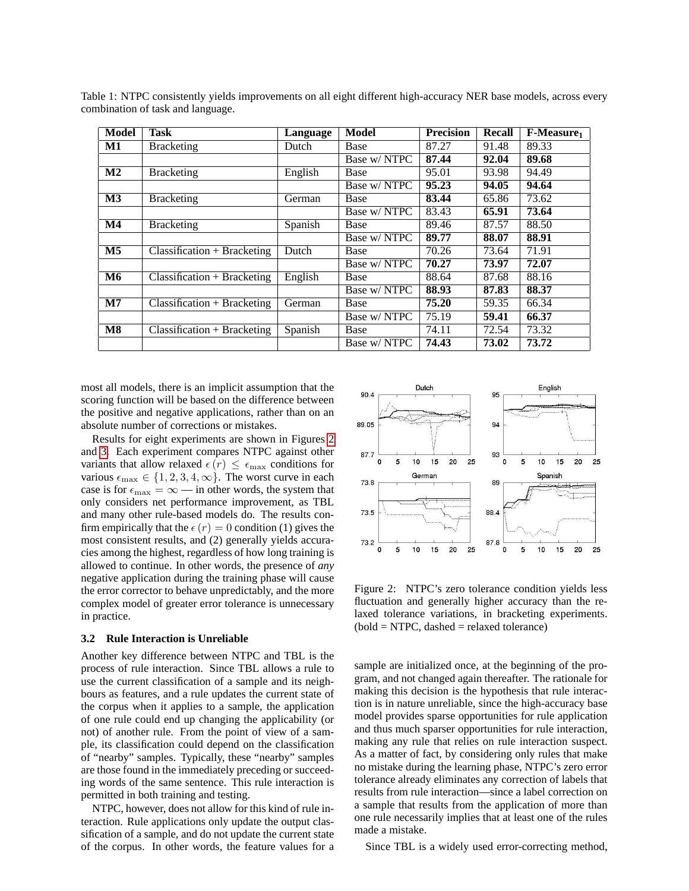| Model          | <b>Task</b>                   | Language | Model        | <b>Precision</b> | <b>Recall</b> | F-Measure |
|----------------|-------------------------------|----------|--------------|------------------|---------------|-----------|
| M1             | <b>Bracketing</b>             | Dutch    | Base         | 87.27            | 91.48         | 89.33     |
|                |                               |          | Base w/ NTPC | 87.44            | 92.04         | 89.68     |
| $\mathbf{M2}$  | <b>Bracketing</b>             | English  | Base         | 95.01            | 93.98         | 94.49     |
|                |                               |          | Base w/ NTPC | 95.23            | 94.05         | 94.64     |
| M <sub>3</sub> | <b>Bracketing</b>             | German   | Base         | 83.44            | 65.86         | 73.62     |
|                |                               |          | Base w/ NTPC | 83.43            | 65.91         | 73.64     |
| $\mathbf{M}4$  | <b>Bracketing</b>             | Spanish  | Base         | 89.46            | 87.57         | 88.50     |
|                |                               |          | Base w/ NTPC | 89.77            | 88.07         | 88.91     |
| M <sub>5</sub> | $Classification + Bracketing$ | Dutch    | <b>Base</b>  | 70.26            | 73.64         | 71.91     |
|                |                               |          | Base w/ NTPC | 70.27            | 73.97         | 72.07     |
| <b>M6</b>      | $Classification + Bracketing$ | English  | Base         | 88.64            | 87.68         | 88.16     |
|                |                               |          | Base w/ NTPC | 88.93            | 87.83         | 88.37     |
| $\mathbf{M}$   | $Classification + Bracketing$ | German   | Base         | 75.20            | 59.35         | 66.34     |
|                |                               |          | Base w/ NTPC | 75.19            | 59.41         | 66.37     |
| $\mathbf{M8}$  | $Classification + Bracketing$ | Spanish  | Base         | 74.11            | 72.54         | 73.32     |
|                |                               |          | Base w/ NTPC | 74.43            | 73.02         | 73.72     |

<span id="page-3-0"></span>Table 1: NTPC consistently yields improvements on all eight different high-accuracy NER base models, across every combination of task and language.

most all models, there is an implicit assumption that the scoring function will be based on the difference between the positive and negative applications, rather than on an absolute number of corrections or mistakes.

Results for eight experiments are shown in Figures [2](#page-3-1) and [3.](#page-4-0) Each experiment compares NTPC against other variants that allow relaxed  $\epsilon(r) \leq \epsilon_{\text{max}}$  conditions for various  $\epsilon_{\text{max}} \in \{1, 2, 3, 4, \infty\}$ . The worst curve in each case is for  $\epsilon_{\text{max}} = \infty$  — in other words, the system that only considers net performance improvement, as TBL and many other rule-based models do. The results confirm empirically that the  $\epsilon(r) = 0$  condition (1) gives the most consistent results, and (2) generally yields accuracies among the highest, regardless of how long training is allowed to continue. In other words, the presence of *any* negative application during the training phase will cause the error corrector to behave unpredictably, and the more complex model of greater error tolerance is unnecessary in practice.

#### **3.2 Rule Interaction is Unreliable**

Another key difference between NTPC and TBL is the process of rule interaction. Since TBL allows a rule to use the current classification of a sample and its neighbours as features, and a rule updates the current state of the corpus when it applies to a sample, the application of one rule could end up changing the applicability (or not) of another rule. From the point of view of a sample, its classification could depend on the classification of "nearby" samples. Typically, these "nearby" samples are those found in the immediately preceding or succeeding words of the same sentence. This rule interaction is permitted in both training and testing.

NTPC, however, does not allow for this kind of rule interaction. Rule applications only update the output classification of a sample, and do not update the current state of the corpus. In other words, the feature values for a



<span id="page-3-1"></span>Figure 2: NTPC's zero tolerance condition yields less fluctuation and generally higher accuracy than the relaxed tolerance variations, in bracketing experiments.  $(bold = NTPC, dashed = relaxed tolerance)$ 

sample are initialized once, at the beginning of the program, and not changed again thereafter. The rationale for making this decision is the hypothesis that rule interaction is in nature unreliable, since the high-accuracy base model provides sparse opportunities for rule application and thus much sparser opportunities for rule interaction, making any rule that relies on rule interaction suspect. As a matter of fact, by considering only rules that make no mistake during the learning phase, NTPC's zero error tolerance already eliminates any correction of labels that results from rule interaction—since a label correction on a sample that results from the application of more than one rule necessarily implies that at least one of the rules made a mistake.

Since TBL is a widely used error-correcting method,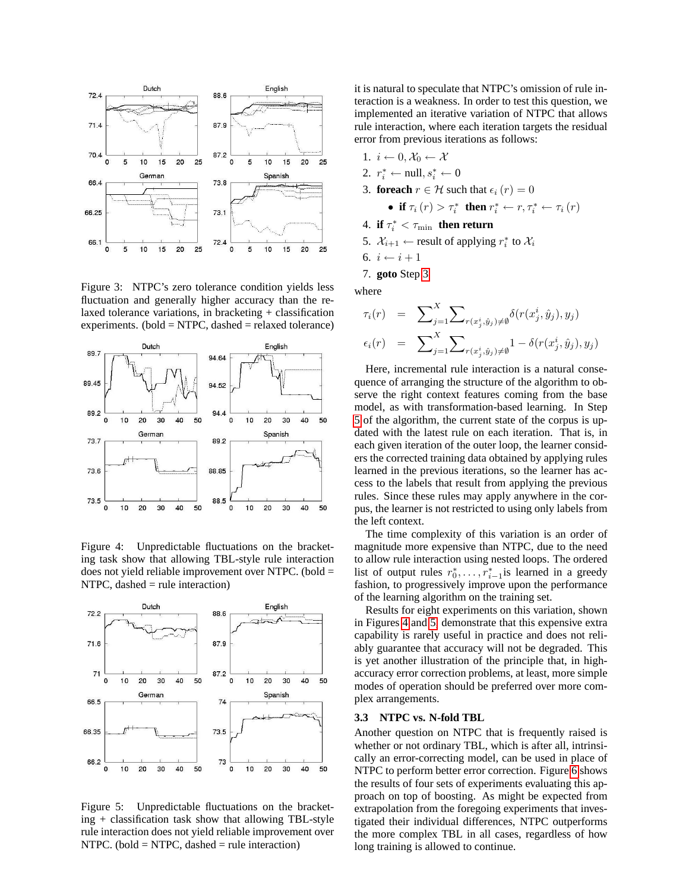

<span id="page-4-0"></span>Figure 3: NTPC's zero tolerance condition yields less fluctuation and generally higher accuracy than the relaxed tolerance variations, in bracketing + classification experiments. (bold =  $NTPC$ , dashed = relaxed tolerance)



<span id="page-4-3"></span>Figure 4: Unpredictable fluctuations on the bracketing task show that allowing TBL-style rule interaction does not yield reliable improvement over NTPC. (bold = NTPC, dashed  $=$  rule interaction)



<span id="page-4-4"></span>Figure 5: Unpredictable fluctuations on the bracket $ing + classification$  task show that allowing TBL-style rule interaction does not yield reliable improvement over NTPC. (bold  $=$  NTPC, dashed  $=$  rule interaction)

it is natural to speculate that NTPC's omission of rule interaction is a weakness. In order to test this question, we implemented an iterative variation of NTPC that allows rule interaction, where each iteration targets the residual error from previous iterations as follows:

- 1.  $i \leftarrow 0, \mathcal{X}_0 \leftarrow \mathcal{X}$
- 2.  $r_i^* \leftarrow \text{null}, s_i^* \leftarrow 0$
- <span id="page-4-1"></span>3. **foreach**  $r \in \mathcal{H}$  such that  $\epsilon_i(r) = 0$

• if 
$$
\tau_i(r) > \tau_i^*
$$
 then  $r_i^* \leftarrow r, \tau_i^* \leftarrow \tau_i(r)$ 

- 4. **if**  $\tau_i^* < \tau_{\min}$  **then return**
- <span id="page-4-2"></span>5.  $\mathcal{X}_{i+1} \leftarrow$  result of applying  $r_i^*$  to  $\mathcal{X}_i$
- 6.  $i \leftarrow i + 1$
- 7. **goto** Step [3](#page-4-1)

where

$$
\tau_i(r) = \sum_{j=1}^X \sum_{r(x_j^i, \hat{y}_j) \neq \emptyset} \delta(r(x_j^i, \hat{y}_j), y_j)
$$

$$
\epsilon_i(r) = \sum_{j=1}^X \sum_{r(x_j^i, \hat{y}_j) \neq \emptyset} 1 - \delta(r(x_j^i, \hat{y}_j), y_j)
$$

Here, incremental rule interaction is a natural consequence of arranging the structure of the algorithm to observe the right context features coming from the base model, as with transformation-based learning. In Step [5](#page-4-2) of the algorithm, the current state of the corpus is updated with the latest rule on each iteration. That is, in each given iteration of the outer loop, the learner considers the corrected training data obtained by applying rules learned in the previous iterations, so the learner has access to the labels that result from applying the previous rules. Since these rules may apply anywhere in the corpus, the learner is not restricted to using only labels from the left context.

The time complexity of this variation is an order of magnitude more expensive than NTPC, due to the need to allow rule interaction using nested loops. The ordered list of output rules  $r_0^*, \ldots, r_{i-1}^*$  is learned in a greedy fashion, to progressively improve upon the performance of the learning algorithm on the training set.

Results for eight experiments on this variation, shown in Figures [4](#page-4-3) and [5,](#page-4-4) demonstrate that this expensive extra capability is rarely useful in practice and does not reliably guarantee that accuracy will not be degraded. This is yet another illustration of the principle that, in highaccuracy error correction problems, at least, more simple modes of operation should be preferred over more complex arrangements.

#### **3.3 NTPC vs. N-fold TBL**

Another question on NTPC that is frequently raised is whether or not ordinary TBL, which is after all, intrinsically an error-correcting model, can be used in place of NTPC to perform better error correction. Figure [6](#page-5-1) shows the results of four sets of experiments evaluating this approach on top of boosting. As might be expected from extrapolation from the foregoing experiments that investigated their individual differences, NTPC outperforms the more complex TBL in all cases, regardless of how long training is allowed to continue.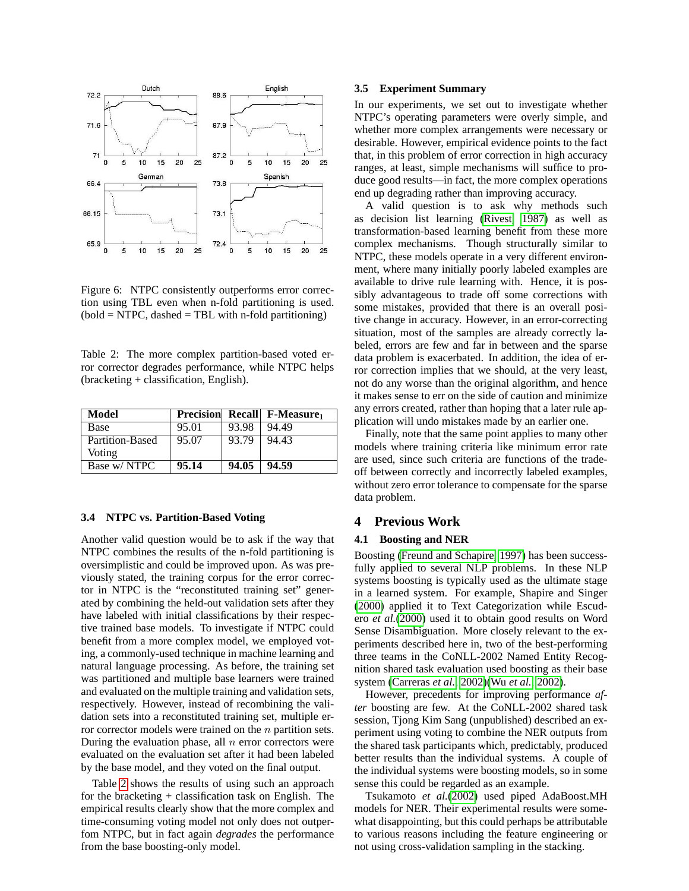

<span id="page-5-1"></span>Figure 6: NTPC consistently outperforms error correction using TBL even when n-fold partitioning is used.  $(bold = NTPC, dashed = TBL with n-fold partitioning)$ 

<span id="page-5-2"></span>Table 2: The more complex partition-based voted error corrector degrades performance, while NTPC helps (bracketing + classification, English).

| Model           |       |       | <b>Precision</b> Recall F-Measure <sub>1</sub> |
|-----------------|-------|-------|------------------------------------------------|
| Base            | 95.01 | 93.98 | 94.49                                          |
| Partition-Based | 95.07 | 93.79 | 94.43                                          |
| Voting          |       |       |                                                |
| Base w/ NTPC    | 95.14 | 94.05 | 94.59                                          |

#### **3.4 NTPC vs. Partition-Based Voting**

Another valid question would be to ask if the way that NTPC combines the results of the n-fold partitioning is oversimplistic and could be improved upon. As was previously stated, the training corpus for the error corrector in NTPC is the "reconstituted training set" generated by combining the held-out validation sets after they have labeled with initial classifications by their respective trained base models. To investigate if NTPC could benefit from a more complex model, we employed voting, a commonly-used technique in machine learning and natural language processing. As before, the training set was partitioned and multiple base learners were trained and evaluated on the multiple training and validation sets, respectively. However, instead of recombining the validation sets into a reconstituted training set, multiple error corrector models were trained on the  $n$  partition sets. During the evaluation phase, all  $n$  error correctors were evaluated on the evaluation set after it had been labeled by the base model, and they voted on the final output.

Table [2](#page-5-2) shows the results of using such an approach for the bracketing + classification task on English. The empirical results clearly show that the more complex and time-consuming voting model not only does not outperfom NTPC, but in fact again *degrades* the performance from the base boosting-only model.

#### **3.5 Experiment Summary**

In our experiments, we set out to investigate whether NTPC's operating parameters were overly simple, and whether more complex arrangements were necessary or desirable. However, empirical evidence points to the fact that, in this problem of error correction in high accuracy ranges, at least, simple mechanisms will suffice to produce good results—in fact, the more complex operations end up degrading rather than improving accuracy.

A valid question is to ask why methods such as decision list learning [\(Rivest, 1987\)](#page-6-5) as well as transformation-based learning benefit from these more complex mechanisms. Though structurally similar to NTPC, these models operate in a very different environment, where many initially poorly labeled examples are available to drive rule learning with. Hence, it is possibly advantageous to trade off some corrections with some mistakes, provided that there is an overall positive change in accuracy. However, in an error-correcting situation, most of the samples are already correctly labeled, errors are few and far in between and the sparse data problem is exacerbated. In addition, the idea of error correction implies that we should, at the very least, not do any worse than the original algorithm, and hence it makes sense to err on the side of caution and minimize any errors created, rather than hoping that a later rule application will undo mistakes made by an earlier one.

Finally, note that the same point applies to many other models where training criteria like minimum error rate are used, since such criteria are functions of the tradeoff between correctly and incorrectly labeled examples, without zero error tolerance to compensate for the sparse data problem.

#### <span id="page-5-0"></span>**4 Previous Work**

#### **4.1 Boosting and NER**

Boosting [\(Freund and Schapire, 1997\)](#page-6-6) has been successfully applied to several NLP problems. In these NLP systems boosting is typically used as the ultimate stage in a learned system. For example, Shapire and Singer [\(2000\)](#page-6-4) applied it to Text Categorization while Escudero *et al.*[\(2000\)](#page-6-7) used it to obtain good results on Word Sense Disambiguation. More closely relevant to the experiments described here in, two of the best-performing three teams in the CoNLL-2002 Named Entity Recognition shared task evaluation used boosting as their base system [\(Carreras](#page-6-8) *et al.*, [2002\)](#page-6-8)(Wu *[et al.](#page-6-9)*, [2002\)](#page-6-9).

However, precedents for improving performance *after* boosting are few. At the CoNLL-2002 shared task session, Tjong Kim Sang (unpublished) described an experiment using voting to combine the NER outputs from the shared task participants which, predictably, produced better results than the individual systems. A couple of the individual systems were boosting models, so in some sense this could be regarded as an example.

Tsukamoto *et al.*[\(2002\)](#page-6-10) used piped AdaBoost.MH models for NER. Their experimental results were somewhat disappointing, but this could perhaps be attributable to various reasons including the feature engineering or not using cross-validation sampling in the stacking.